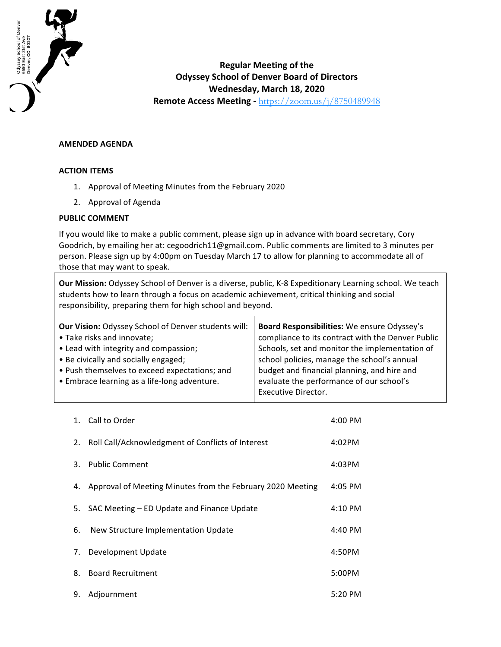

## **Regular Meeting of the Odyssey School of Denver Board of Directors Wednesday, March 18, 2020 Remote Access Meeting - https://zoom.us/j/8750489948**

## **AMENDED AGENDA**

## **ACTION ITEMS**

- 1. Approval of Meeting Minutes from the February 2020
- 2. Approval of Agenda

## **PUBLIC COMMENT**

If you would like to make a public comment, please sign up in advance with board secretary, Cory Goodrich, by emailing her at: cegoodrich11@gmail.com. Public comments are limited to 3 minutes per person. Please sign up by 4:00pm on Tuesday March 17 to allow for planning to accommodate all of those that may want to speak.

**Our Mission:** Odyssey School of Denver is a diverse, public, K-8 Expeditionary Learning school. We teach students how to learn through a focus on academic achievement, critical thinking and social responsibility, preparing them for high school and beyond.

| Board Responsibilities: We ensure Odyssey's<br>compliance to its contract with the Denver Public<br>Schools, set and monitor the implementation of<br>school policies, manage the school's annual<br>budget and financial planning, and hire and<br>evaluate the performance of our school's |
|----------------------------------------------------------------------------------------------------------------------------------------------------------------------------------------------------------------------------------------------------------------------------------------------|
| <b>Executive Director.</b>                                                                                                                                                                                                                                                                   |
|                                                                                                                                                                                                                                                                                              |

|    | 1. Call to Order                                           | 4:00 PM   |
|----|------------------------------------------------------------|-----------|
| 2. | Roll Call/Acknowledgment of Conflicts of Interest          | 4:02PM    |
| 3. | <b>Public Comment</b>                                      | 4:03PM    |
| 4. | Approval of Meeting Minutes from the February 2020 Meeting | 4:05 PM   |
| 5. | SAC Meeting – ED Update and Finance Update                 | 4:10 PM   |
| 6. | New Structure Implementation Update                        | 4:40 PM   |
| 7. | Development Update                                         | 4:50PM    |
| 8. | <b>Board Recruitment</b>                                   | 5:00PM    |
| 9. | Adjournment                                                | $5:20$ PM |